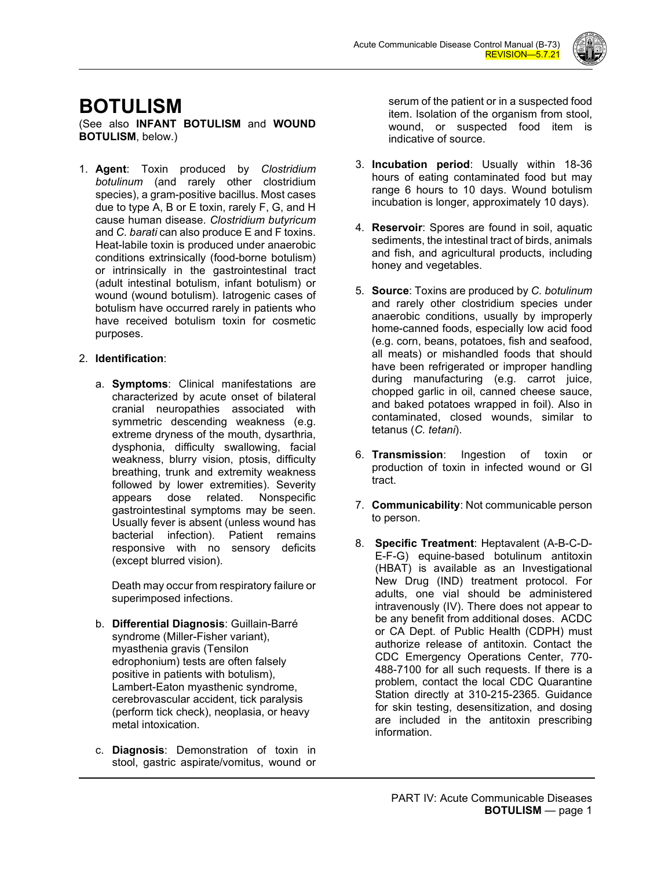

# **BOTULISM**

(See also **INFANT BOTULISM** and **WOUND BOTULISM**, below.)

1. **Agent**: Toxin produced by *Clostridium botulinum* (and rarely other clostridium species), a gram-positive bacillus. Most cases due to type A, B or E toxin, rarely F, G, and H cause human disease. *Clostridium butyricum* and *C. barati* can also produce E and F toxins. Heat-labile toxin is produced under anaerobic conditions extrinsically (food-borne botulism) or intrinsically in the gastrointestinal tract (adult intestinal botulism, infant botulism) or wound (wound botulism). Iatrogenic cases of botulism have occurred rarely in patients who have received botulism toxin for cosmetic purposes.

# 2. **Identification**:

a. **Symptoms**: Clinical manifestations are characterized by acute onset of bilateral cranial neuropathies associated with symmetric descending weakness (e.g. extreme dryness of the mouth, dysarthria, dysphonia, difficulty swallowing, facial weakness, blurry vision, ptosis, difficulty breathing, trunk and extremity weakness followed by lower extremities). Severity appears dose related. Nonspecific gastrointestinal symptoms may be seen. Usually fever is absent (unless wound has bacterial infection). Patient remains responsive with no sensory deficits (except blurred vision).

Death may occur from respiratory failure or superimposed infections.

- b. **Differential Diagnosis**: Guillain-Barré syndrome (Miller-Fisher variant), myasthenia gravis (Tensilon edrophonium) tests are often falsely positive in patients with botulism), Lambert-Eaton myasthenic syndrome, cerebrovascular accident, tick paralysis (perform tick check), neoplasia, or heavy metal intoxication.
- c. **Diagnosis**: Demonstration of toxin in stool, gastric aspirate/vomitus, wound or

serum of the patient or in a suspected food item. Isolation of the organism from stool, wound, or suspected food item is indicative of source.

- 3. **Incubation period**: Usually within 18-36 hours of eating contaminated food but may range 6 hours to 10 days. Wound botulism incubation is longer, approximately 10 days).
- 4. **Reservoir**: Spores are found in soil, aquatic sediments, the intestinal tract of birds, animals and fish, and agricultural products, including honey and vegetables.
- 5. **Source**: Toxins are produced by *C. botulinum* and rarely other clostridium species under anaerobic conditions, usually by improperly home-canned foods, especially low acid food (e.g. corn, beans, potatoes, fish and seafood, all meats) or mishandled foods that should have been refrigerated or improper handling during manufacturing (e.g. carrot juice, chopped garlic in oil, canned cheese sauce, and baked potatoes wrapped in foil). Also in contaminated, closed wounds, similar to tetanus (*C. tetani*).
- 6. **Transmission**: Ingestion of toxin or production of toxin in infected wound or GI tract.
- 7. **Communicability**: Not communicable person to person.
- 8. **Specific Treatment**: Heptavalent (A-B-C-D-E-F-G) equine-based botulinum antitoxin (HBAT) is available as an Investigational New Drug (IND) treatment protocol. For adults, one vial should be administered intravenously (IV). There does not appear to be any benefit from additional doses. ACDC or CA Dept. of Public Health (CDPH) must authorize release of antitoxin. Contact the CDC Emergency Operations Center, 770- 488-7100 for all such requests. If there is a problem, contact the local CDC Quarantine Station directly at 310-215-2365. Guidance for skin testing, desensitization, and dosing are included in the antitoxin prescribing information.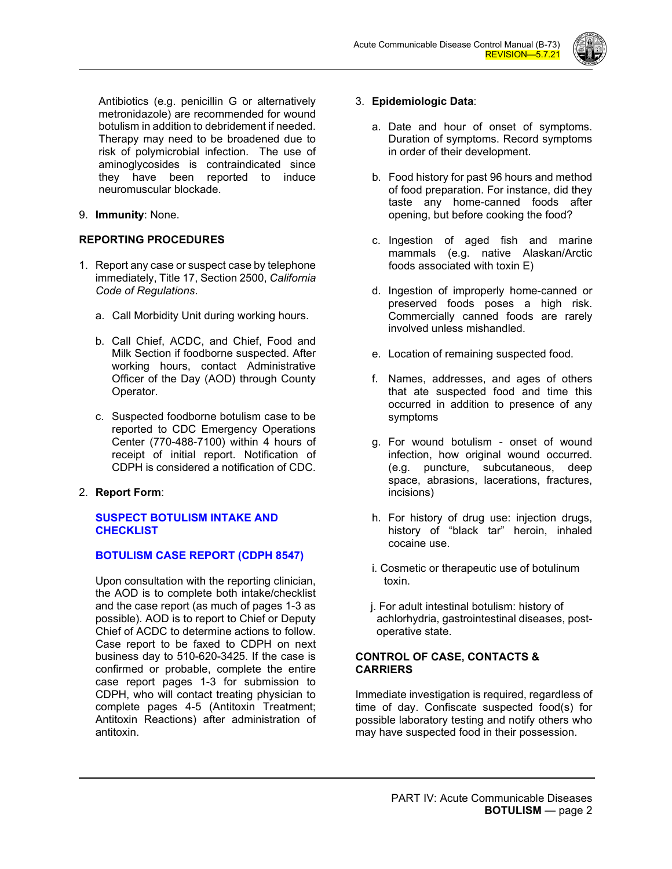

Antibiotics (e.g. penicillin G or alternatively metronidazole) are recommended for wound botulism in addition to debridement if needed. Therapy may need to be broadened due to risk of polymicrobial infection. The use of aminoglycosides is contraindicated since they have been reported to induce neuromuscular blockade.

9. **Immunity**: None.

# **REPORTING PROCEDURES**

- 1. Report any case or suspect case by telephone immediately, Title 17, Section 2500, *California Code of Regulations*.
	- a. Call Morbidity Unit during working hours.
	- b. Call Chief, ACDC, and Chief, Food and Milk Section if foodborne suspected. After working hours, contact Administrative Officer of the Day (AOD) through County Operator.
	- c. Suspected foodborne botulism case to be reported to CDC Emergency Operations Center (770-488-7100) within 4 hours of receipt of initial report. Notification of CDPH is considered a notification of CDC.
- 2. **Report Form**:

## **[SUSPECT BOTULISM INTAKE AND](http://publichealth.lacounty.gov/acd/Diseases/EpiForms/BotulismSuspIntakeCheck.pdf)  [CHECKLIST](http://publichealth.lacounty.gov/acd/Diseases/EpiForms/BotulismSuspIntakeCheck.pdf)**

# **[BOTULISM CASE REPORT \(CDPH 8547\)](http://publichealth.lacounty.gov/acd/Diseases/EpiForms/BotulismRep.pdf)**

Upon consultation with the reporting clinician, the AOD is to complete both intake/checklist and the case report (as much of pages 1-3 as possible). AOD is to report to Chief or Deputy Chief of ACDC to determine actions to follow. Case report to be faxed to CDPH on next business day to 510-620-3425. If the case is confirmed or probable, complete the entire case report pages 1-3 for submission to CDPH, who will contact treating physician to complete pages 4-5 (Antitoxin Treatment; Antitoxin Reactions) after administration of antitoxin.

## 3. **Epidemiologic Data**:

- a. Date and hour of onset of symptoms. Duration of symptoms. Record symptoms in order of their development.
- b. Food history for past 96 hours and method of food preparation. For instance, did they taste any home-canned foods after opening, but before cooking the food?
- c. Ingestion of aged fish and marine mammals (e.g. native Alaskan/Arctic foods associated with toxin E)
- d. Ingestion of improperly home-canned or preserved foods poses a high risk. Commercially canned foods are rarely involved unless mishandled.
- e. Location of remaining suspected food.
- f. Names, addresses, and ages of others that ate suspected food and time this occurred in addition to presence of any symptoms
- g. For wound botulism onset of wound infection, how original wound occurred. (e.g. puncture, subcutaneous, deep space, abrasions, lacerations, fractures, incisions)
- h. For history of drug use: injection drugs, history of "black tar" heroin, inhaled cocaine use.
- i. Cosmetic or therapeutic use of botulinum toxin.
- j. For adult intestinal botulism: history of achlorhydria, gastrointestinal diseases, post operative state.

## **CONTROL OF CASE, CONTACTS & CARRIERS**

Immediate investigation is required, regardless of time of day. Confiscate suspected food(s) for possible laboratory testing and notify others who may have suspected food in their possession.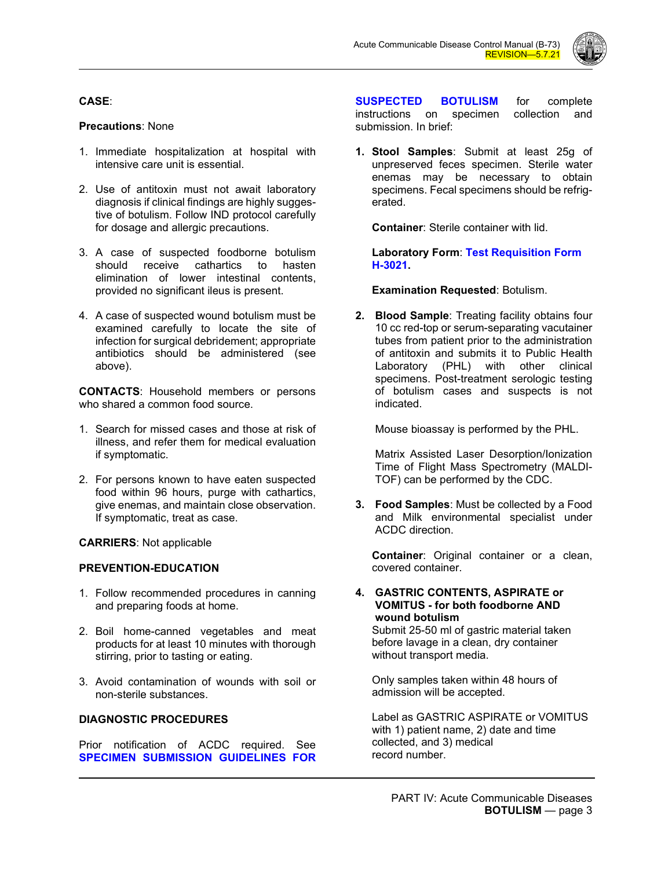

## **CASE**:

### **Precautions**: None

- 1. Immediate hospitalization at hospital with intensive care unit is essential.
- 2. Use of antitoxin must not await laboratory diagnosis if clinical findings are highly suggestive of botulism. Follow IND protocol carefully for dosage and allergic precautions.
- 3. A case of suspected foodborne botulism should receive cathartics to hasten elimination of lower intestinal contents, provided no significant ileus is present.
- 4. A case of suspected wound botulism must be examined carefully to locate the site of infection for surgical debridement; appropriate antibiotics should be administered (see above).

**CONTACTS**: Household members or persons who shared a common food source.

- 1. Search for missed cases and those at risk of illness, and refer them for medical evaluation if symptomatic.
- 2. For persons known to have eaten suspected food within 96 hours, purge with cathartics, give enemas, and maintain close observation. If symptomatic, treat as case.

**CARRIERS**: Not applicable

#### **PREVENTION-EDUCATION**

- 1. Follow recommended procedures in canning and preparing foods at home.
- 2. Boil home-canned vegetables and meat products for at least 10 minutes with thorough stirring, prior to tasting or eating.
- 3. Avoid contamination of wounds with soil or non-sterile substances.

#### **DIAGNOSTIC PROCEDURES**

Prior notification of ACDC required. See **[SPECIMEN SUBMISSION GUIDELINES FOR](http://publichealth.lacounty.gov/acd/Diseases/EpiForms/BotulismSpecGuide.pdf)** 

**[SUSPECTED BOTULISM](http://publichealth.lacounty.gov/acd/Diseases/EpiForms/BotulismSpecGuide.pdf)** for complete instructions on specimen collection and submission. In brief:

**1. Stool Samples**: Submit at least 25g of unpreserved feces specimen. Sterile water enemas may be necessary to obtain specimens. Fecal specimens should be refrigerated.

**Container**: Sterile container with lid.

**Laboratory Form**: **[Test Requisition Form](http://publichealth.lacounty.gov/lab/docs/H-3021%20Test%20Request%20Form.pdf)  [H-3021.](http://publichealth.lacounty.gov/lab/docs/H-3021%20Test%20Request%20Form.pdf)**

#### **Examination Requested**: Botulism.

**2. Blood Sample**: Treating facility obtains four 10 cc red-top or serum-separating vacutainer tubes from patient prior to the administration of antitoxin and submits it to Public Health Laboratory (PHL) with other clinical specimens. Post-treatment serologic testing of botulism cases and suspects is not indicated.

Mouse bioassay is performed by the PHL.

Matrix Assisted Laser Desorption/Ionization Time of Flight Mass Spectrometry (MALDI-TOF) can be performed by the CDC.

**3. Food Samples**: Must be collected by a Food and Milk environmental specialist under ACDC direction.

**Container**: Original container or a clean, covered container.

#### **4. GASTRIC CONTENTS, ASPIRATE or VOMITUS - for both foodborne AND wound botulism**

Submit 25-50 ml of gastric material taken before lavage in a clean, dry container without transport media.

Only samples taken within 48 hours of admission will be accepted.

Label as GASTRIC ASPIRATE or VOMITUS with 1) patient name, 2) date and time collected, and 3) medical record number.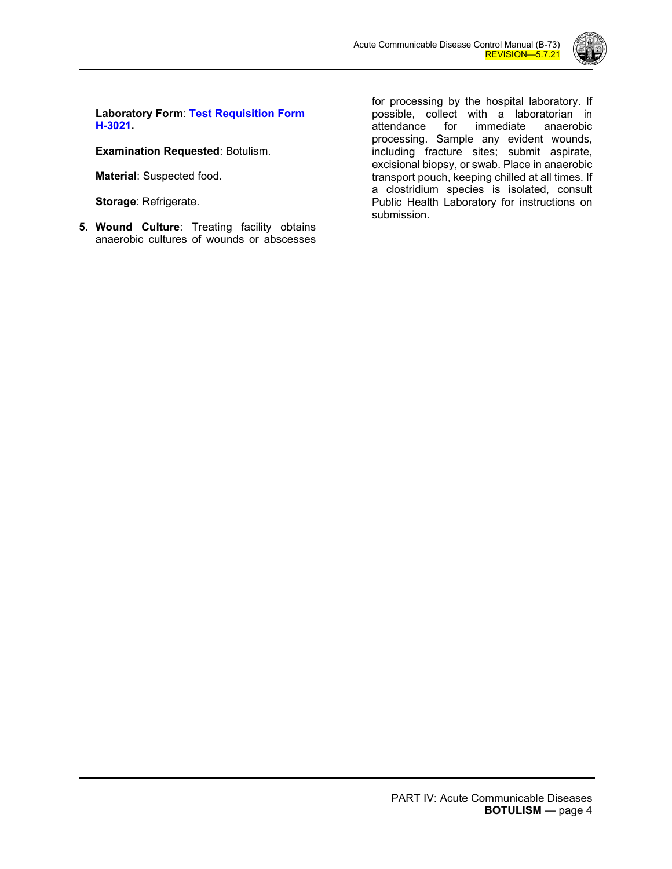

**Laboratory Form**: **[Test Requisition Form](http://publichealth.lacounty.gov/lab/docs/H-3021%20Test%20Request%20Form.pdf)  [H-3021.](http://publichealth.lacounty.gov/lab/docs/H-3021%20Test%20Request%20Form.pdf)**

**Examination Requested**: Botulism.

**Material**: Suspected food.

**Storage**: Refrigerate.

**5. Wound Culture**: Treating facility obtains anaerobic cultures of wounds or abscesses

for processing by the hospital laboratory. If possible, collect with a laboratorian in immediate anaerobic processing. Sample any evident wounds, including fracture sites; submit aspirate, excisional biopsy, or swab. Place in anaerobic transport pouch, keeping chilled at all times. If a clostridium species is isolated, consult Public Health Laboratory for instructions on submission.